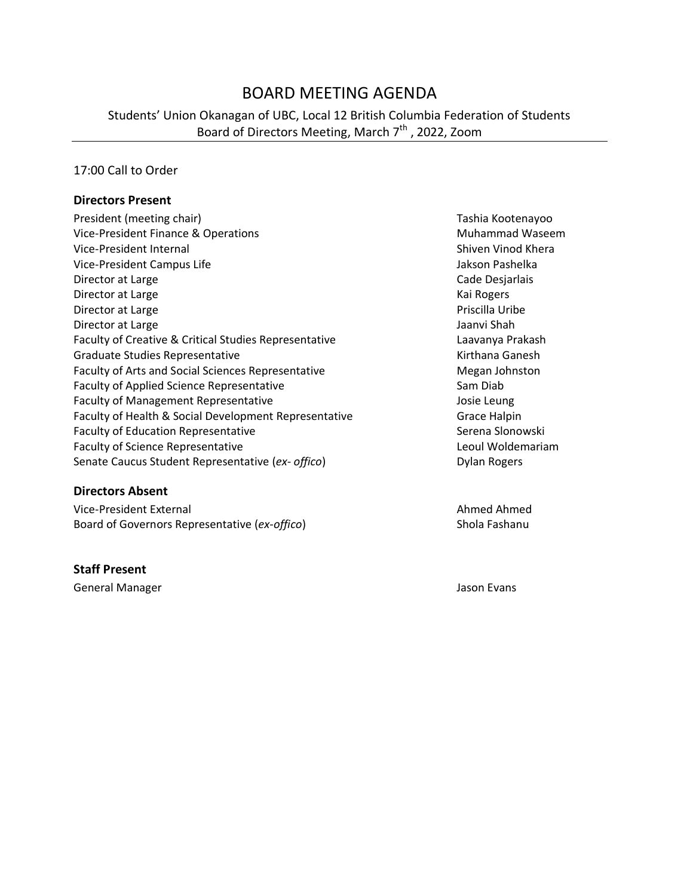# BOARD MEETING AGENDA

Students' Union Okanagan of UBC, Local 12 British Columbia Federation of Students Board of Directors Meeting, March 7<sup>th</sup> , 2022, Zoom

### 17:00 Call to Order

#### **Directors Present**

| President (meeting chair)                             | Tashia Kooter       |
|-------------------------------------------------------|---------------------|
| Vice-President Finance & Operations                   | Muhammad \          |
| Vice-President Internal                               | Shiven Vinod        |
| Vice-President Campus Life                            | Jakson Pashel       |
| Director at Large                                     | Cade Desjarla       |
| Director at Large                                     | Kai Rogers          |
| Director at Large                                     | Priscilla Uribe     |
| Director at Large                                     | Jaanvi Shah         |
| Faculty of Creative & Critical Studies Representative | Laavanya Pral       |
| Graduate Studies Representative                       | Kirthana Gane       |
| Faculty of Arts and Social Sciences Representative    | Megan Johnst        |
| Faculty of Applied Science Representative             | Sam Diab            |
| <b>Faculty of Management Representative</b>           | Josie Leung         |
| Faculty of Health & Social Development Representative | Grace Halpin        |
| <b>Faculty of Education Representative</b>            | Serena Slonoy       |
| <b>Faculty of Science Representative</b>              | Leoul Wolden        |
| Senate Caucus Student Representative (ex- offico)     | <b>Dylan Rogers</b> |

#### **Directors Absent**

Vice-President External Ahmed Ahmed Ahmed Ahmed Ahmed Ahmed Ahmed Ahmed Ahmed Ahmed Ahmed Ahmed Ahmed Ahmed Ahmed Ahmed Ahmed Ahmed Ahmed Ahmed Ahmed Ahmed Ahmed Ahmed Ahmed Ahmed Ahmed Ahmed Ahmed Ahmed Ahmed Ahmed Ahmed Board of Governors Representative (ex-offico) Shola Fashanu

#### **Staff Present**

General Manager Jason Evans

Tashia Kootenayoo **Muhammad Waseem** Shiven Vinod Khera Jakson Pashelka Cade Desjarlais Kai Rogers Priscilla Uribe Jaanvi Shah Laavanya Prakash Kirthana Ganesh Megan Johnston Josie Leung e Faculty of Grace Halpin Serena Slonowski Leoul Woldemariam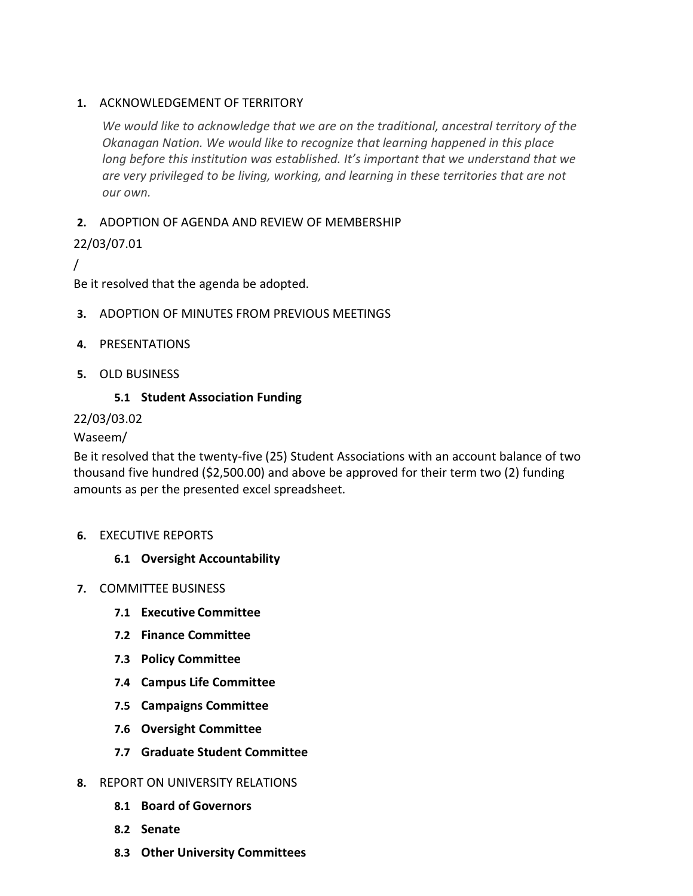# **1.** ACKNOWLEDGEMENT OF TERRITORY

*We would like to acknowledge that we are on the traditional, ancestral territory of the Okanagan Nation. We would like to recognize that learning happened in this place long before this institution was established. It's important that we understand that we are very privileged to be living, working, and learning in these territories that are not our own.*

# **2.** ADOPTION OF AGENDA AND REVIEW OF MEMBERSHIP

# 22/03/07.01

/

Be it resolved that the agenda be adopted.

- **3.** ADOPTION OF MINUTES FROM PREVIOUS MEETINGS
- **4.** PRESENTATIONS
- **5.** OLD BUSINESS

### **5.1 Student Association Funding**

### 22/03/03.02

### Waseem/

Be it resolved that the twenty-five (25) Student Associations with an account balance of two thousand five hundred (\$2,500.00) and above be approved for their term two (2) funding amounts as per the presented excel spreadsheet.

#### **6.** EXECUTIVE REPORTS

# **6.1 Oversight Accountability**

- **7.** COMMITTEE BUSINESS
	- **7.1 Executive Committee**
	- **7.2 Finance Committee**
	- **7.3 Policy Committee**
	- **7.4 Campus Life Committee**
	- **7.5 Campaigns Committee**
	- **7.6 Oversight Committee**
	- **7.7 Graduate Student Committee**
- **8.** REPORT ON UNIVERSITY RELATIONS
	- **8.1 Board of Governors**
	- **8.2 Senate**
	- **8.3 Other University Committees**